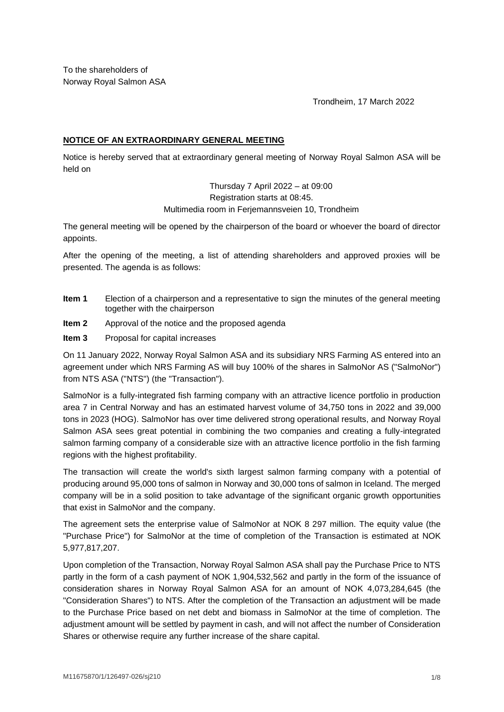To the shareholders of Norway Royal Salmon ASA

Trondheim, 17 March 2022

## **NOTICE OF AN EXTRAORDINARY GENERAL MEETING**

Notice is hereby served that at extraordinary general meeting of Norway Royal Salmon ASA will be held on

> Thursday 7 April 2022 – at 09:00 Registration starts at 08:45. Multimedia room in Ferjemannsveien 10, Trondheim

The general meeting will be opened by the chairperson of the board or whoever the board of director appoints.

After the opening of the meeting, a list of attending shareholders and approved proxies will be presented. The agenda is as follows:

- **Item 1** Election of a chairperson and a representative to sign the minutes of the general meeting together with the chairperson
- **Item 2** Approval of the notice and the proposed agenda
- **Item 3** Proposal for capital increases

On 11 January 2022, Norway Royal Salmon ASA and its subsidiary NRS Farming AS entered into an agreement under which NRS Farming AS will buy 100% of the shares in SalmoNor AS ("SalmoNor") from NTS ASA ("NTS") (the "Transaction").

SalmoNor is a fully-integrated fish farming company with an attractive licence portfolio in production area 7 in Central Norway and has an estimated harvest volume of 34,750 tons in 2022 and 39,000 tons in 2023 (HOG). SalmoNor has over time delivered strong operational results, and Norway Royal Salmon ASA sees great potential in combining the two companies and creating a fully-integrated salmon farming company of a considerable size with an attractive licence portfolio in the fish farming regions with the highest profitability.

The transaction will create the world's sixth largest salmon farming company with a potential of producing around 95,000 tons of salmon in Norway and 30,000 tons of salmon in Iceland. The merged company will be in a solid position to take advantage of the significant organic growth opportunities that exist in SalmoNor and the company.

The agreement sets the enterprise value of SalmoNor at NOK 8 297 million. The equity value (the "Purchase Price") for SalmoNor at the time of completion of the Transaction is estimated at NOK 5,977,817,207.

Upon completion of the Transaction, Norway Royal Salmon ASA shall pay the Purchase Price to NTS partly in the form of a cash payment of NOK 1,904,532,562 and partly in the form of the issuance of consideration shares in Norway Royal Salmon ASA for an amount of NOK 4,073,284,645 (the "Consideration Shares") to NTS. After the completion of the Transaction an adjustment will be made to the Purchase Price based on net debt and biomass in SalmoNor at the time of completion. The adjustment amount will be settled by payment in cash, and will not affect the number of Consideration Shares or otherwise require any further increase of the share capital.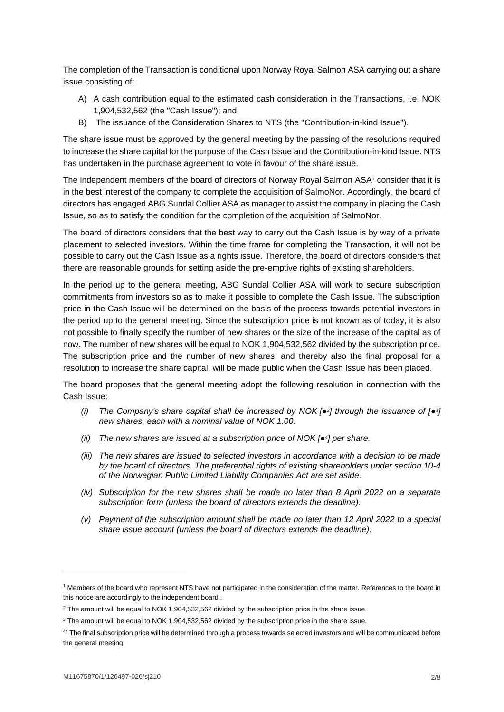The completion of the Transaction is conditional upon Norway Royal Salmon ASA carrying out a share issue consisting of:

- A) A cash contribution equal to the estimated cash consideration in the Transactions, i.e. NOK 1,904,532,562 (the "Cash Issue"); and
- B) The issuance of the Consideration Shares to NTS (the "Contribution-in-kind Issue").

The share issue must be approved by the general meeting by the passing of the resolutions required to increase the share capital for the purpose of the Cash Issue and the Contribution-in-kind Issue. NTS has undertaken in the purchase agreement to vote in favour of the share issue.

The independent members of the board of directors of Norway Royal Salmon ASA<sup>1</sup> consider that it is in the best interest of the company to complete the acquisition of SalmoNor. Accordingly, the board of directors has engaged ABG Sundal Collier ASA as manager to assist the company in placing the Cash Issue, so as to satisfy the condition for the completion of the acquisition of SalmoNor.

The board of directors considers that the best way to carry out the Cash Issue is by way of a private placement to selected investors. Within the time frame for completing the Transaction, it will not be possible to carry out the Cash Issue as a rights issue. Therefore, the board of directors considers that there are reasonable grounds for setting aside the pre-emptive rights of existing shareholders.

In the period up to the general meeting, ABG Sundal Collier ASA will work to secure subscription commitments from investors so as to make it possible to complete the Cash Issue. The subscription price in the Cash Issue will be determined on the basis of the process towards potential investors in the period up to the general meeting. Since the subscription price is not known as of today, it is also not possible to finally specify the number of new shares or the size of the increase of the capital as of now. The number of new shares will be equal to NOK 1,904,532,562 divided by the subscription price. The subscription price and the number of new shares, and thereby also the final proposal for a resolution to increase the share capital, will be made public when the Cash Issue has been placed.

The board proposes that the general meeting adopt the following resolution in connection with the Cash Issue:

- *(i) The Company's share capital shall be increased by NOK [●<sup>2</sup> ] through the issuance of [●<sup>3</sup> ] new shares, each with a nominal value of NOK 1.00.*
- *(ii) The new shares are issued at a subscription price of NOK [●<sup>4</sup> ] per share.*
- *(iii) The new shares are issued to selected investors in accordance with a decision to be made by the board of directors. The preferential rights of existing shareholders under section 10-4 of the Norwegian Public Limited Liability Companies Act are set aside.*
- *(iv) Subscription for the new shares shall be made no later than 8 April 2022 on a separate subscription form (unless the board of directors extends the deadline).*
- *(v) Payment of the subscription amount shall be made no later than 12 April 2022 to a special share issue account (unless the board of directors extends the deadline).*

<sup>1</sup> Members of the board who represent NTS have not participated in the consideration of the matter. References to the board in this notice are accordingly to the independent board..

<sup>&</sup>lt;sup>2</sup> The amount will be equal to NOK 1,904,532,562 divided by the subscription price in the share issue.

<sup>&</sup>lt;sup>3</sup> The amount will be equal to NOK 1,904,532,562 divided by the subscription price in the share issue.

<sup>&</sup>lt;sup>44</sup> The final subscription price will be determined through a process towards selected investors and will be communicated before the general meeting.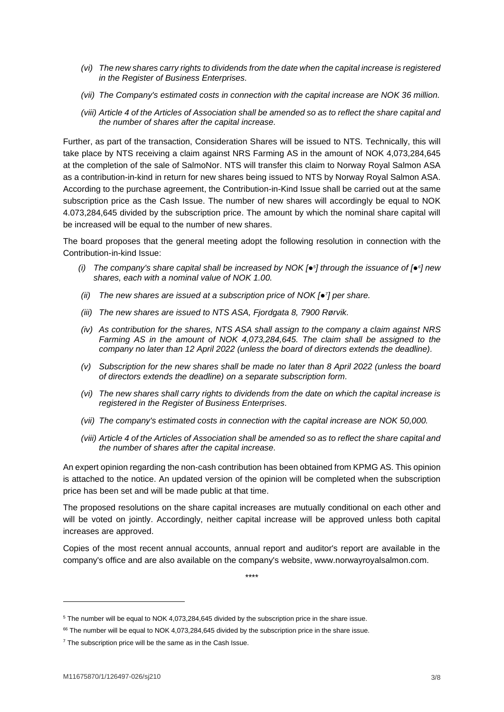- *(vi) The new shares carry rights to dividends from the date when the capital increase is registered in the Register of Business Enterprises.*
- *(vii) The Company's estimated costs in connection with the capital increase are NOK 36 million.*
- *(viii) Article 4 of the Articles of Association shall be amended so as to reflect the share capital and the number of shares after the capital increase.*

Further, as part of the transaction, Consideration Shares will be issued to NTS. Technically, this will take place by NTS receiving a claim against NRS Farming AS in the amount of NOK 4,073,284,645 at the completion of the sale of SalmoNor. NTS will transfer this claim to Norway Royal Salmon ASA as a contribution-in-kind in return for new shares being issued to NTS by Norway Royal Salmon ASA. According to the purchase agreement, the Contribution-in-Kind Issue shall be carried out at the same subscription price as the Cash Issue. The number of new shares will accordingly be equal to NOK 4.073,284,645 divided by the subscription price. The amount by which the nominal share capital will be increased will be equal to the number of new shares.

The board proposes that the general meeting adopt the following resolution in connection with the Contribution-in-kind Issue:

- *(i) The company's share capital shall be increased by NOK [●<sup>5</sup> ] through the issuance of [●<sup>6</sup> ] new shares, each with a nominal value of NOK 1.00.*
- *(ii) The new shares are issued at a subscription price of NOK [●<sup>7</sup> ] per share.*
- *(iii) The new shares are issued to NTS ASA, Fjordgata 8, 7900 Rørvik.*
- *(iv) As contribution for the shares, NTS ASA shall assign to the company a claim against NRS Farming AS in the amount of NOK 4,073,284,645. The claim shall be assigned to the company no later than 12 April 2022 (unless the board of directors extends the deadline).*
- *(v) Subscription for the new shares shall be made no later than 8 April 2022 (unless the board of directors extends the deadline) on a separate subscription form.*
- *(vi) The new shares shall carry rights to dividends from the date on which the capital increase is registered in the Register of Business Enterprises.*
- *(vii) The company's estimated costs in connection with the capital increase are NOK 50,000.*
- *(viii) Article 4 of the Articles of Association shall be amended so as to reflect the share capital and the number of shares after the capital increase.*

An expert opinion regarding the non-cash contribution has been obtained from KPMG AS. This opinion is attached to the notice. An updated version of the opinion will be completed when the subscription price has been set and will be made public at that time.

The proposed resolutions on the share capital increases are mutually conditional on each other and will be voted on jointly. Accordingly, neither capital increase will be approved unless both capital increases are approved.

Copies of the most recent annual accounts, annual report and auditor's report are available in the company's office and are also available on the company's website, www.norwayroyalsalmon.com.

\*\*\*\*

<sup>5</sup> The number will be equal to NOK 4,073,284,645 divided by the subscription price in the share issue.

 $66$  The number will be equal to NOK 4,073,284,645 divided by the subscription price in the share issue.

 $7$  The subscription price will be the same as in the Cash Issue.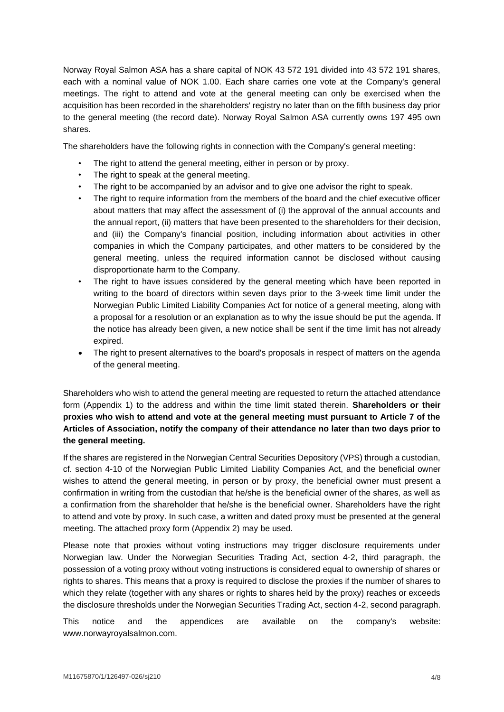Norway Royal Salmon ASA has a share capital of NOK 43 572 191 divided into 43 572 191 shares, each with a nominal value of NOK 1.00. Each share carries one vote at the Company's general meetings. The right to attend and vote at the general meeting can only be exercised when the acquisition has been recorded in the shareholders' registry no later than on the fifth business day prior to the general meeting (the record date). Norway Royal Salmon ASA currently owns 197 495 own shares.

The shareholders have the following rights in connection with the Company's general meeting:

- The right to attend the general meeting, either in person or by proxy.
- The right to speak at the general meeting.
- The right to be accompanied by an advisor and to give one advisor the right to speak.
- The right to require information from the members of the board and the chief executive officer about matters that may affect the assessment of (i) the approval of the annual accounts and the annual report, (ii) matters that have been presented to the shareholders for their decision, and (iii) the Company's financial position, including information about activities in other companies in which the Company participates, and other matters to be considered by the general meeting, unless the required information cannot be disclosed without causing disproportionate harm to the Company.
- The right to have issues considered by the general meeting which have been reported in writing to the board of directors within seven days prior to the 3-week time limit under the Norwegian Public Limited Liability Companies Act for notice of a general meeting, along with a proposal for a resolution or an explanation as to why the issue should be put the agenda. If the notice has already been given, a new notice shall be sent if the time limit has not already expired.
- The right to present alternatives to the board's proposals in respect of matters on the agenda of the general meeting.

Shareholders who wish to attend the general meeting are requested to return the attached attendance form (Appendix 1) to the address and within the time limit stated therein. **Shareholders or their proxies who wish to attend and vote at the general meeting must pursuant to Article 7 of the Articles of Association, notify the company of their attendance no later than two days prior to the general meeting.** 

If the shares are registered in the Norwegian Central Securities Depository (VPS) through a custodian, cf. section 4-10 of the Norwegian Public Limited Liability Companies Act, and the beneficial owner wishes to attend the general meeting, in person or by proxy, the beneficial owner must present a confirmation in writing from the custodian that he/she is the beneficial owner of the shares, as well as a confirmation from the shareholder that he/she is the beneficial owner. Shareholders have the right to attend and vote by proxy. In such case, a written and dated proxy must be presented at the general meeting. The attached proxy form (Appendix 2) may be used.

Please note that proxies without voting instructions may trigger disclosure requirements under Norwegian law. Under the Norwegian Securities Trading Act, section 4-2, third paragraph, the possession of a voting proxy without voting instructions is considered equal to ownership of shares or rights to shares. This means that a proxy is required to disclose the proxies if the number of shares to which they relate (together with any shares or rights to shares held by the proxy) reaches or exceeds the disclosure thresholds under the Norwegian Securities Trading Act, section 4-2, second paragraph.

This notice and the appendices are available on the company's website: www.norwayroyalsalmon.com.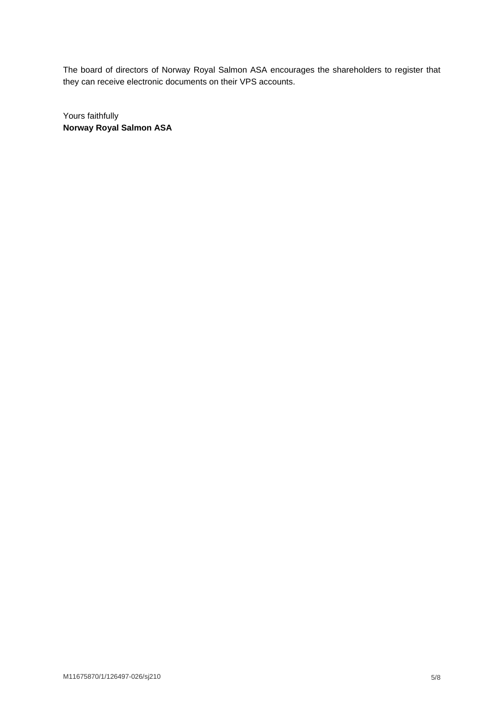The board of directors of Norway Royal Salmon ASA encourages the shareholders to register that they can receive electronic documents on their VPS accounts.

Yours faithfully **Norway Royal Salmon ASA**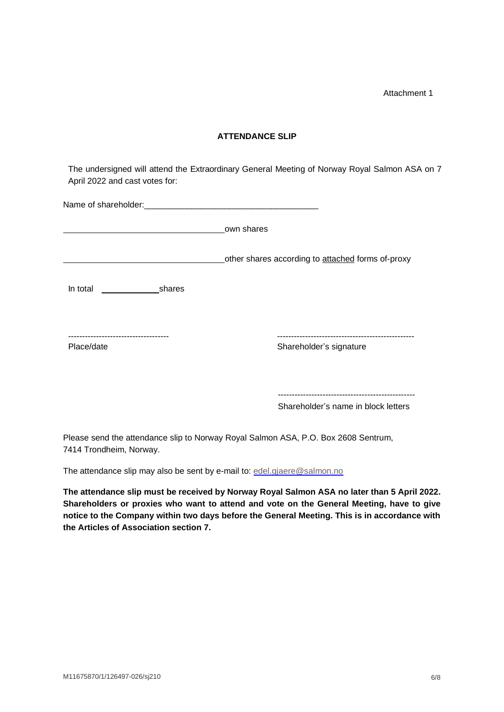Attachment 1

## **ATTENDANCE SLIP**

The undersigned will attend the Extraordinary General Meeting of Norway Royal Salmon ASA on 7 April 2022 and cast votes for:

|                 | own shares                                        |
|-----------------|---------------------------------------------------|
|                 | other shares according to attached forms of-proxy |
| In total shares |                                                   |
| Place/date      | Shareholder's signature                           |
|                 |                                                   |
|                 | Shareholder's name in block letters               |

Please send the attendance slip to Norway Royal Salmon ASA, P.O. Box 2608 Sentrum, 7414 Trondheim, Norway.

The attendance slip may also be sent by e-mail to: [edel.gjaere@salmon.no](mailto:edel.gjaere@salmon.no)

**The attendance slip must be received by Norway Royal Salmon ASA no later than 5 April 2022. Shareholders or proxies who want to attend and vote on the General Meeting, have to give notice to the Company within two days before the General Meeting. This is in accordance with the Articles of Association section 7.**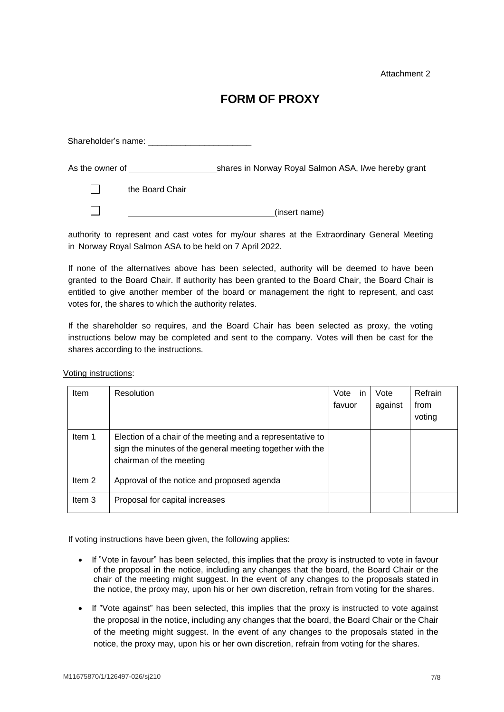Attachment 2

## **FORM OF PROXY**

 Shareholder's name: \_\_\_\_\_\_\_\_\_\_\_\_\_\_\_\_\_\_\_\_\_\_ As the owner of shares in Norway Royal Salmon ASA, I/we hereby grant  $\Box$ the Board Chair  $\Box$ (insert name) <u> 1980 - Johann Barn, mars ar breist bestjoerde te gemeente kommen.</u>

authority to represent and cast votes for my/our shares at the Extraordinary General Meeting in Norway Royal Salmon ASA to be held on 7 April 2022.

If none of the alternatives above has been selected, authority will be deemed to have been granted to the Board Chair. If authority has been granted to the Board Chair, the Board Chair is entitled to give another member of the board or management the right to represent, and cast votes for, the shares to which the authority relates.

If the shareholder so requires, and the Board Chair has been selected as proxy, the voting instructions below may be completed and sent to the company. Votes will then be cast for the shares according to the instructions.

| Item              | Resolution                                                                                                                                         | Vote<br>-in<br>favuor | Vote<br>against | Refrain<br>from<br>voting |
|-------------------|----------------------------------------------------------------------------------------------------------------------------------------------------|-----------------------|-----------------|---------------------------|
| Item 1            | Election of a chair of the meeting and a representative to<br>sign the minutes of the general meeting together with the<br>chairman of the meeting |                       |                 |                           |
| Item <sub>2</sub> | Approval of the notice and proposed agenda                                                                                                         |                       |                 |                           |
| Item 3            | Proposal for capital increases                                                                                                                     |                       |                 |                           |

Voting instructions:

If voting instructions have been given, the following applies:

- If "Vote in favour" has been selected, this implies that the proxy is instructed to vote in favour of the proposal in the notice, including any changes that the board, the Board Chair or the chair of the meeting might suggest. In the event of any changes to the proposals stated in the notice, the proxy may, upon his or her own discretion, refrain from voting for the shares.
- If "Vote against" has been selected, this implies that the proxy is instructed to vote against the proposal in the notice, including any changes that the board, the Board Chair or the Chair of the meeting might suggest. In the event of any changes to the proposals stated in the notice, the proxy may, upon his or her own discretion, refrain from voting for the shares.